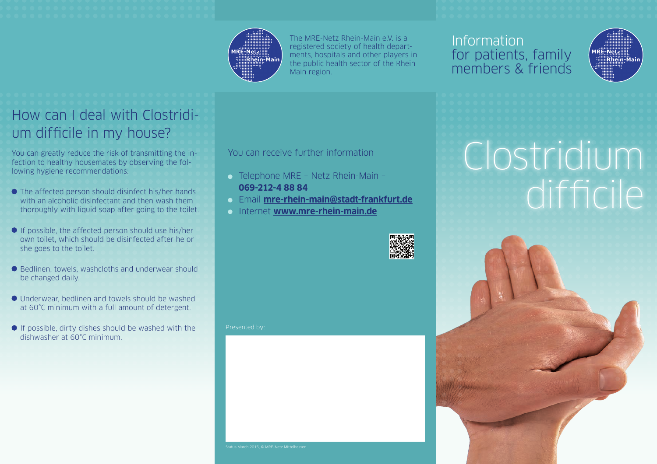### **MRE-Netz:** ..............<br>:Rhein-Main

The MRE-Netz Rhein-Main e.V. is a registered society of health departments, hospitals and other players in the public health sector of the Rhein Main region.

### Information for patients, family members & friends



### How can I deal with Clostridium difficile in my house?

You can greatly reduce the risk of transmitting the infection to healthy housemates by observing the following hygiene recommendations:

- The affected person should disinfect his/her hands with an alcoholic disinfectant and then wash them thoroughly with liquid soap after going to the toilet.
- $\bullet$  If possible, the affected person should use his/her own toilet, which should be disinfected after he or she goes to the toilet.
- Bedlinen, towels, washcloths and underwear should be changed daily.
- Underwear, bedlinen and towels should be washed at 60°C minimum with a full amount of detergent.
- $\bullet$  If possible, dirty dishes should be washed with the dishwasher at 60°C minimum.

#### You can receive further information

- Telephone MRE Netz Rhein-Main **069-212-4 88 84**
- Email **mre-rhein-main@stadt-frankfurt.de**
- Internet **www.mre-rhein-main.de**



Presented by:

## Clostridium difficile